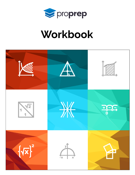

# Workbook

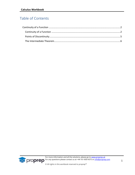# Table of Contents

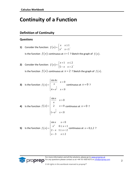# <span id="page-2-0"></span>**Continuity of a Function**

# <span id="page-2-1"></span>**Definition of Continuity**

*Eproprep* 

## **Questions**

- **1)** Consider the function:  $f(x) = \begin{cases} 1 & x^2 \end{cases}$ 1 1 *x x f x*  $x^2$  x  $\begin{cases} x & x \geq 0 \end{cases}$  $=\{$  $\begin{cases} x^2 & x < \end{cases}$ . Is the function  $f(x)$  continuous at  $x=1$  ? Sketch the graph of  $f(x)$ .
- **2)** Consider the function:  $f(x)$ 1  $x \leq 2$  $5-x$   $x>2$  $x+1$  *x f x x x*  $\begin{cases} x+1 & x \leq 2 \end{cases}$  $=\begin{cases} x+1 & x=2 \\ 5-x & x>2 \end{cases}$ Is the function  $f(x)$  continuous at  $x = 2$  ? Sketch the graph of  $f(x)$ .

3) Is the function 
$$
f(x) =\begin{cases} \frac{\sin 4x}{x} & x > 0 \\ \frac{1}{4 + e^x} & x < 0 \end{cases}
$$
 continuous at  $x = 0$ ?

4) Is the function 
$$
f(x) =\begin{cases} \frac{\sin x}{x} & x > 0 \\ 2 & x = 0 \text{ continuous at } x = 0 \text{ ?} \\ 1 + e^{\frac{1}{x}} & x < 0 \end{cases}
$$

5) Is the function 
$$
f(x) =\begin{cases} \sin x & x < 0 \\ x^2 & 0 \le x < 1 \\ 2 - x & 1 \le x < 2 \\ x - 3 & x \ge 2 \end{cases}
$$
 continuous at  $x = 0, 1, 2$ ?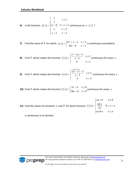6) Is the function 
$$
f(x) = \begin{cases} \frac{1}{x} & x \le 1 \\ |x-2| & 1 < x < 2 \\ 1 & x = 2 \\ x-2 & x > 2 \end{cases}
$$
 continuous at  $x = 1, 2$ ?

**7)** Find the value of  $k$  for which  $f(x)$  $x^2+x-2$   $x<2$  $5kx-6$   $x>2$  $f(x) = \begin{cases} kx^2 + x - 2 & x \ 5 & x \end{cases}$  $kx - 6$  x  $=\begin{cases} kx^2 + x - 2 & x < 2 \\ 5kx - 6 & x > 2 \end{cases}$  is continuous everywhere.

8) Find *k* which makes the function 
$$
f(x) = \begin{cases} \frac{x^2 + 2x - 3}{x - 1} & x \neq 1 \\ k & x = 1 \end{cases}
$$
 continuous for every *x*.

**9)** Find  $k$  which makes the function  $f(x)$  $\frac{x^2+5-3}{2}$   $x \neq 2$ 2 2  $f(x) = \begin{cases} \frac{\sqrt{x^2 + 5} - 3}{x - 2} & x \end{cases}$  $\begin{array}{ccc} -2 & x \\ k & x \end{array}$  $\int \frac{\sqrt{x^2+5}-3}{x}$  x ≠  $=\left\{\frac{\overline{x}}{x-1}\right\}$  $\begin{vmatrix} k & x \end{vmatrix}$ continuous for every *x* .

**10)** Find  $k$  which makes the function  $f(x)$  $2x-k$   $x \le 0$  $5kx-6$   $x>0$  $x - k$  *x f x*  $kx - 6$  x  $\begin{cases} 2x-k & x \leq 0 \end{cases}$  $=\begin{cases} 2x - k & x = 0 \\ 5kx - 6 & x > 0 \end{cases}$  continuous for every x.

**11)** Find the values of constants  $a$  and  $b$  for which function  $f(x)$ 0  $\frac{\sin x}{2}$  0 2 cos  $ax + b$  *x*  $f(x) = \begin{cases} \frac{\sin x}{2x} & 0 < x \\ a \cos x & x \ge 0 \end{cases}$ π π  $\int ax+b$   $x \le 0$  $=\begin{cases} \frac{\sin x}{2} & 0 < x < \pi \end{cases}$  $\overline{\phantom{a}}$  $\begin{cases} a\cos x & x \geq 0 \end{cases}$ 

is continuous in its domain.

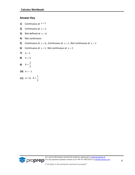### **Answer Key**

- **1)** Continuous at  $x = 1$
- **2)** Continuous at  $x = 2$
- **3)** Not defined at  $x = 0$
- **4)** Not continuous
- **5)** Continuous at  $x = 0$ , Continuous at  $x = 1$ , Not continuous at  $x = 2$
- **6)** Continuous at  $x = 1$ , Not continuous at  $x = 2$
- **7)**  $k = 1$
- **8)**  $k = 4$
- **9)** 2 3  $k =$
- **10)**  $k = -1$
- **11)** 0,  $b = \frac{1}{2}$ 2  $a = 0, b = 0$

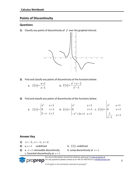# <span id="page-5-0"></span>**Points of Discontinuity**

#### **Questions**

**1)** Classify any points of discontinuity of  $f$  over the graphed interval.



**2)** Find and classify any points of discontinuity of the functions below:

|  | a. $f(x) = \frac{x+1}{x-1}$ | b. $f(x) = \frac{x^2 + x - 2}{x^2 - 1}$ |
|--|-----------------------------|-----------------------------------------|
|--|-----------------------------|-----------------------------------------|

**3)** Find and classify any points of discontinuity of the functions below:

a. 
$$
f(x) = \begin{cases} x^2 & x < 1 \\ 0 & x = 1 \\ 2-x & x > 1 \end{cases}
$$
 b.  $f(x) = \begin{cases} x^2 & x < 1 \\ 0 & x = 1 \\ -x^2 + 2x + 1 & x > 1 \end{cases}$  c.  $f(x) = \begin{cases} x^2 & x < 1 \\ 0 & x = 1 \\ \frac{1}{x-1} & x > 1 \end{cases}$ 

#### **Answer Key**

**1)**  $x = -3$ ,  $x = -1$ ,  $x = 2$ . **2)** a.  $x = 1$  undefined b.  $f\left( 1\right) \,$  undefined **3)** a.  $x = 1$ removable discontinuity b. Jump discontinuity at  $x = 1$ c. Essential discontinuity at  $x = 1$ For more information and all the solutions, please go to [www.proprep.uk](http://www.proprep.uk/) For any questions please contact us at +44-161-850-4375 or [info@proprep.com](mailto:info@proprep.com) proprep

© All rights in this workbook reserved to proprep™

 $\sqrt{ }$